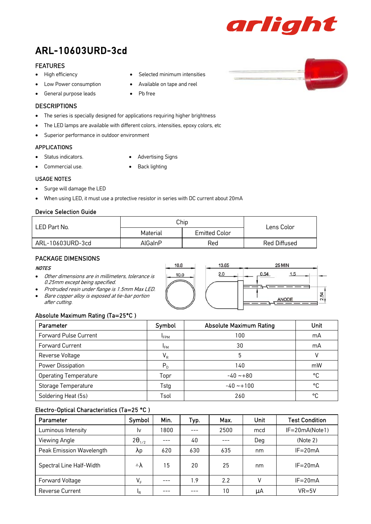

# ARL-10603URD-3cd

# FEATURES

- High efficiency
- Low Power consumption
- General purpose leads

# **DESCRIPTIONS**

• The series is specially designed for applications requiring higher brightness

• Pb free

- The LED lamps are available with different colors, intensities, epoxy colors, etc
- Superior performance in outdoor environment

# APPLICATIONS

- Status indicators.
- Advertising Signs

• Selected minimum intensities • Available on tape and reel

- Commercial use.
- Back lighting

# USAGE NOTES

- Surge will damage the LED
- When using LED, it must use a protective resistor in series with DC current about 20mA

# Device Selection Guide

| LED Part No.     | Chip     | Lens Color    |              |
|------------------|----------|---------------|--------------|
|                  | Material | Emitted Color |              |
| ARL-10603URD-3cd | AlGaInP  | Red           | Red Diffused |

# PACKAGE DIMENSIONS

#### **NOTES**

- Other dimensions are in millimeters, tolerance is 0.25mm except being specified.
- Protruded resin under flange is 1.5mm Max LED. • Bare copper alloy is exposed at tie-bar portion after cutting.

# Absolute Maximum Rating (Ta=25°C )

| Parameter                    | Symbol          | <b>Absolute Maximum Rating</b> | Unit |
|------------------------------|-----------------|--------------------------------|------|
| <b>Forward Pulse Current</b> | $I_{FPM}$       | 100                            | mA   |
| <b>Forward Current</b>       | l <sub>FM</sub> | 30                             | mA   |
| Reverse Voltage              | $V_R$           | 5                              |      |
| Power Dissipation            | $P_{D}$         | 140                            | mW   |
| <b>Operating Temperature</b> | Topr            | $-40 - +80$                    | °C   |
| Storage Temperature          | Tstg            | $-40 - 100$                    | °C   |
| Soldering Heat (5s)          | Tsol            | 260                            | °C   |

# Electro-Optical Characteristics (Ta=25 °C )

| Parameter                | Symbol              | Min. | Typ. | Max. | <b>Unit</b> | <b>Test Condition</b> |
|--------------------------|---------------------|------|------|------|-------------|-----------------------|
| Luminous Intensity       | 1v                  | 1800 |      | 2500 | mcd         | $IF = 20mA(Note1)$    |
| Viewing Angle            | $2\theta_{1/2}$     |      | 40   |      | Deg         | (Note 2)              |
| Peak Emission Wavelength | λp                  | 620  | 630  | 635  | nm          | $IF = 20mA$           |
| Spectral Line Half-Width | $\triangle \lambda$ | 15   | 20   | 25   | nm          | $IF = 20mA$           |
| Forward Voltage          | $V_F$               |      | 1.9  | 2.2  |             | $IF = 20mA$           |
| <b>Reverse Current</b>   | IR.                 |      |      | 10   | μA          | $VR = 5V$             |